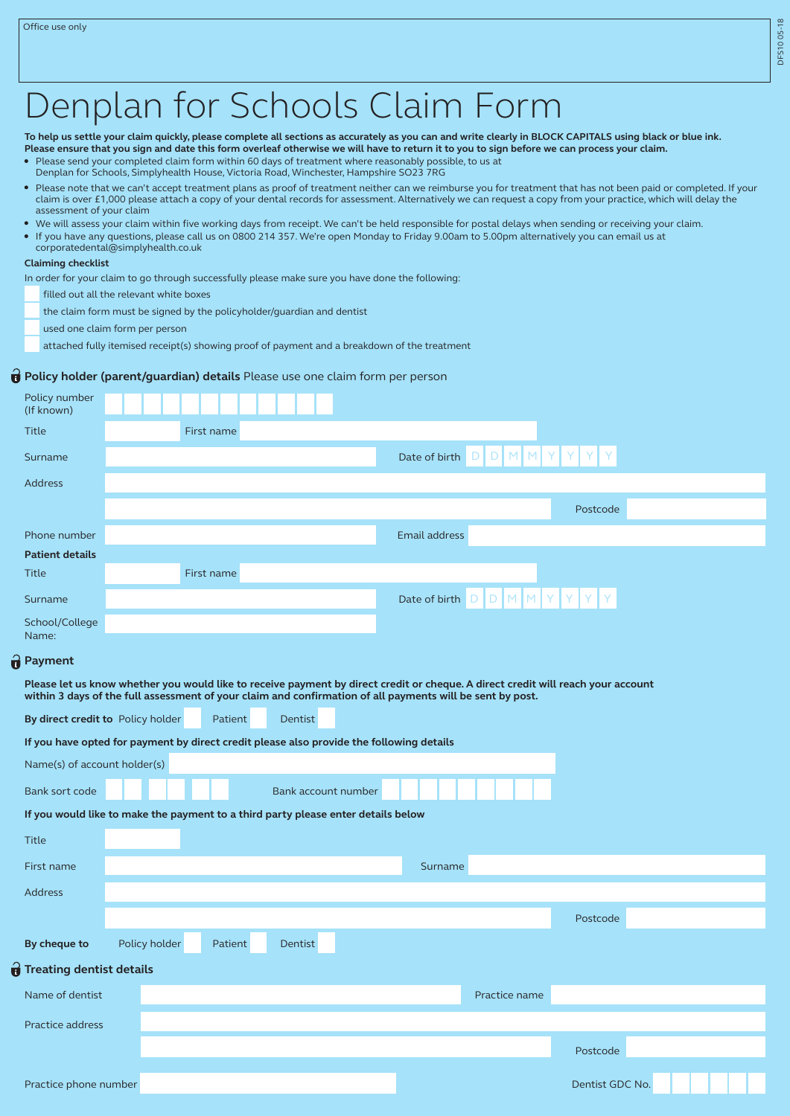# Denplan for Schools Claim Form

**To help us settle your claim quickly, please complete all sections as accurately as you can and write clearly in BLOCK CAPITALS using black or blue ink. Please ensure that you sign and date this form overleaf otherwise we will have to return it to you to sign before we can process your claim.** 

- Please send your completed claim form within 60 days of treatment where reasonably possible, to us at
- Denplan for Schools, Simplyhealth House, Victoria Road, Winchester, Hampshire SO23 7RG
- Please note that we can't accept treatment plans as proof of treatment neither can we reimburse you for treatment that has not been paid or completed. If your claim is over £1,000 please attach a copy of your dental records for assessment. Alternatively we can request a copy from your practice, which will delay the assessment of your claim
- We will assess your claim within five working days from receipt. We can't be held responsible for postal delays when sending or receiving your claim.
- If you have any questions, please call us on 0800 214 357. We're open Monday to Friday 9.00am to 5.00pm alternatively you can email us at corporatedental@simplyhealth.co.uk

#### **Claiming checklist**

In order for your claim to go through successfully please make sure you have done the following:

filled out all the relevant white boxes

the claim form must be signed by the policyholder/guardian and dentist

used one claim form per person

attached fully itemised receipt(s) showing proof of payment and a breakdown of the treatment

### **Policy holder (parent/guardian) details** Please use one claim form per person

| Policy number<br>(If known)                                                                                                                                                                                                                   |               |            |         |                     |                                        |                      |   |                 |  |  |  |
|-----------------------------------------------------------------------------------------------------------------------------------------------------------------------------------------------------------------------------------------------|---------------|------------|---------|---------------------|----------------------------------------|----------------------|---|-----------------|--|--|--|
| <b>Title</b>                                                                                                                                                                                                                                  |               | First name |         |                     |                                        |                      |   |                 |  |  |  |
| Surname                                                                                                                                                                                                                                       |               |            |         |                     | Date of birth $D \mid D \mid M \mid M$ |                      | Y | Y               |  |  |  |
| <b>Address</b>                                                                                                                                                                                                                                |               |            |         |                     |                                        |                      |   |                 |  |  |  |
|                                                                                                                                                                                                                                               |               |            |         |                     |                                        |                      |   | Postcode        |  |  |  |
| Phone number                                                                                                                                                                                                                                  |               |            |         |                     | Email address                          |                      |   |                 |  |  |  |
| <b>Patient details</b>                                                                                                                                                                                                                        |               |            |         |                     |                                        |                      |   |                 |  |  |  |
| <b>Title</b>                                                                                                                                                                                                                                  |               | First name |         |                     |                                        |                      |   |                 |  |  |  |
| Surname                                                                                                                                                                                                                                       |               |            |         |                     | Date of birth D                        | $M$ M<br>$\mathsf D$ | Y |                 |  |  |  |
| School/College<br>Name:                                                                                                                                                                                                                       |               |            |         |                     |                                        |                      |   |                 |  |  |  |
| <b>Payment</b>                                                                                                                                                                                                                                |               |            |         |                     |                                        |                      |   |                 |  |  |  |
| Please let us know whether you would like to receive payment by direct credit or cheque. A direct credit will reach your account<br>within 3 days of the full assessment of your claim and confirmation of all payments will be sent by post. |               |            |         |                     |                                        |                      |   |                 |  |  |  |
| By direct credit to Policy holder                                                                                                                                                                                                             |               | Patient    | Dentist |                     |                                        |                      |   |                 |  |  |  |
| If you have opted for payment by direct credit please also provide the following details                                                                                                                                                      |               |            |         |                     |                                        |                      |   |                 |  |  |  |
| Name(s) of account holder(s)                                                                                                                                                                                                                  |               |            |         |                     |                                        |                      |   |                 |  |  |  |
| Bank sort code                                                                                                                                                                                                                                |               |            |         | Bank account number |                                        |                      |   |                 |  |  |  |
| If you would like to make the payment to a third party please enter details below                                                                                                                                                             |               |            |         |                     |                                        |                      |   |                 |  |  |  |
| Title                                                                                                                                                                                                                                         |               |            |         |                     |                                        |                      |   |                 |  |  |  |
| First name                                                                                                                                                                                                                                    |               |            |         |                     | Surname                                |                      |   |                 |  |  |  |
| <b>Address</b>                                                                                                                                                                                                                                |               |            |         |                     |                                        |                      |   |                 |  |  |  |
|                                                                                                                                                                                                                                               |               |            |         |                     |                                        |                      |   | Postcode        |  |  |  |
| By cheque to                                                                                                                                                                                                                                  | Policy holder | Patient    | Dentist |                     |                                        |                      |   |                 |  |  |  |
| <b>Treating dentist details</b>                                                                                                                                                                                                               |               |            |         |                     |                                        |                      |   |                 |  |  |  |
| Name of dentist                                                                                                                                                                                                                               |               |            |         |                     |                                        | Practice name        |   |                 |  |  |  |
| Practice address                                                                                                                                                                                                                              |               |            |         |                     |                                        |                      |   |                 |  |  |  |
|                                                                                                                                                                                                                                               |               |            |         |                     |                                        |                      |   | Postcode        |  |  |  |
| Practice phone number                                                                                                                                                                                                                         |               |            |         |                     |                                        |                      |   | Dentist GDC No. |  |  |  |